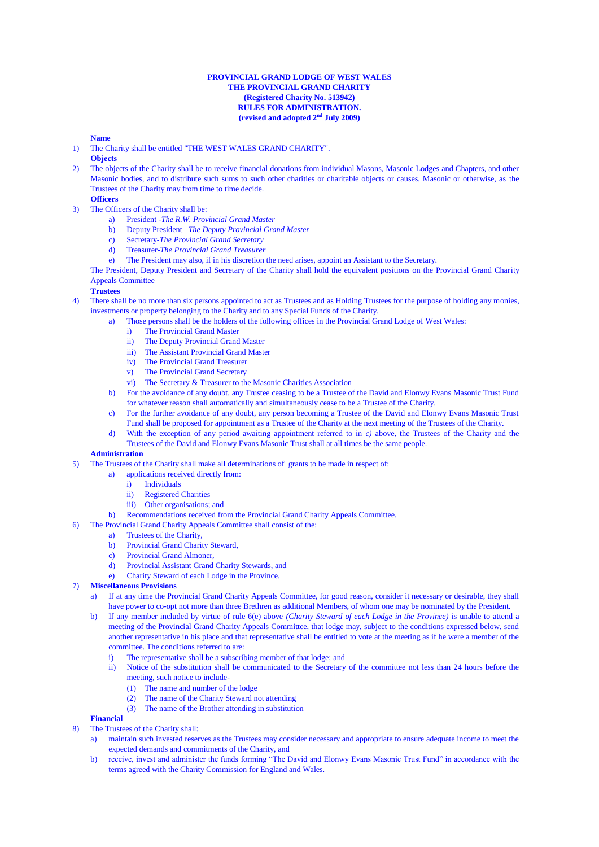#### **PROVINCIAL GRAND LODGE OF WEST WALES THE PROVINCIAL GRAND CHARITY (Registered Charity No. 513942) RULES FOR ADMINISTRATION.** (revised and adopted  $2<sup>nd</sup>$  July 2009)

### **Name**

- 1) The Charity shall be entitled "THE WEST WALES GRAND CHARITY".
- **Objects**
- 2) The objects of the Charity shall be to receive financial donations from individual Masons, Masonic Lodges and Chapters, and other Masonic bodies, and to distribute such sums to such other charities or charitable objects or causes, Masonic or otherwise, as the Trustees of the Charity may from time to time decide.
	- **Officers**
- 3) The Officers of the Charity shall be:
	- a) President -*The R.W. Provincial Grand Master*
	- b) Deputy President –*The Deputy Provincial Grand Master*
	- c) Secretary-*The Provincial Grand Secretary*
	- d) Treasurer-*The Provincial Grand Treasurer*
	- e) The President may also, if in his discretion the need arises, appoint an Assistant to the Secretary.

The President, Deputy President and Secretary of the Charity shall hold the equivalent positions on the Provincial Grand Charity Appeals Committee

# **Trustees**

4) There shall be no more than six persons appointed to act as Trustees and as Holding Trustees for the purpose of holding any monies, investments or property belonging to the Charity and to any Special Funds of the Charity.

- Those persons shall be the holders of the following offices in the Provincial Grand Lodge of West Wales:
	- i) The Provincial Grand Master
	- ii) The Deputy Provincial Grand Master
	- iii) The Assistant Provincial Grand Master
	- iv) The Provincial Grand Treasurer
	- v) The Provincial Grand Secretary
	- vi) The Secretary & Treasurer to the Masonic Charities Association
- b) For the avoidance of any doubt, any Trustee ceasing to be a Trustee of the David and Elonwy Evans Masonic Trust Fund for whatever reason shall automatically and simultaneously cease to be a Trustee of the Charity.
- c) For the further avoidance of any doubt, any person becoming a Trustee of the David and Elonwy Evans Masonic Trust Fund shall be proposed for appointment as a Trustee of the Charity at the next meeting of the Trustees of the Charity.
- d) With the exception of any period awaiting appointment referred to in *c)* above, the Trustees of the Charity and the Trustees of the David and Elonwy Evans Masonic Trust shall at all times be the same people.

#### **Administration**

- 5) The Trustees of the Charity shall make all determinations of grants to be made in respect of:
	- a) applications received directly from:
		- i) Individuals
		- ii) Registered Charities
		- iii) Other organisations; and
	- b) Recommendations received from the Provincial Grand Charity Appeals Committee.
- 6) The Provincial Grand Charity Appeals Committee shall consist of the:
	- a) Trustees of the Charity,
	- b) Provincial Grand Charity Steward,
	- c) Provincial Grand Almoner,
	- d) Provincial Assistant Grand Charity Stewards, and
	- e) Charity Steward of each Lodge in the Province.
- 7) **Miscellaneous Provisions**
	- a) If at any time the Provincial Grand Charity Appeals Committee, for good reason, consider it necessary or desirable, they shall have power to co-opt not more than three Brethren as additional Members, of whom one may be nominated by the President.
	- b) If any member included by virtue of rule 6(e) above *(Charity Steward of each Lodge in the Province)* is unable to attend a meeting of the Provincial Grand Charity Appeals Committee, that lodge may, subject to the conditions expressed below, send another representative in his place and that representative shall be entitled to vote at the meeting as if he were a member of the committee. The conditions referred to are:
		- i) The representative shall be a subscribing member of that lodge; and
		- ii) Notice of the substitution shall be communicated to the Secretary of the committee not less than 24 hours before the meeting, such notice to include-
			- (1) The name and number of the lodge
			- (2) The name of the Charity Steward not attending
			- (3) The name of the Brother attending in substitution

# **Financial**

- 8) The Trustees of the Charity shall:
	- a) maintain such invested reserves as the Trustees may consider necessary and appropriate to ensure adequate income to meet the expected demands and commitments of the Charity, and
	- b) receive, invest and administer the funds forming "The David and Elonwy Evans Masonic Trust Fund" in accordance with the terms agreed with the Charity Commission for England and Wales.